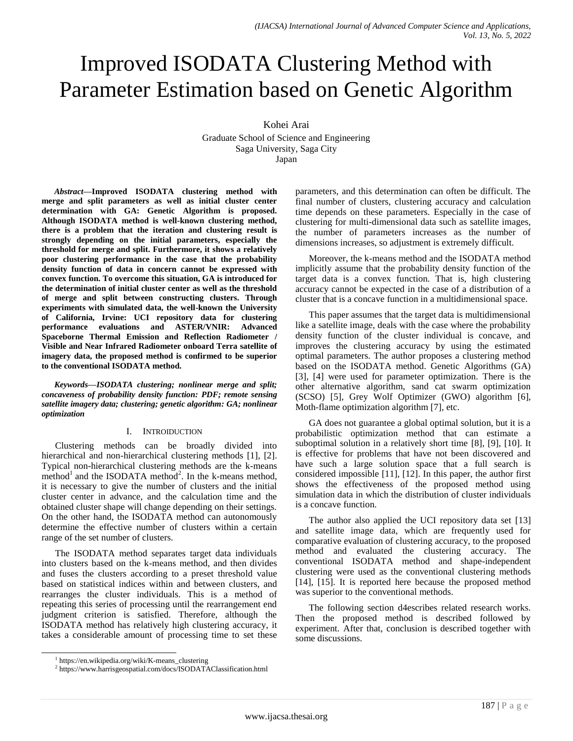# Improved ISODATA Clustering Method with Parameter Estimation based on Genetic Algorithm

Kohei Arai

Graduate School of Science and Engineering Saga University, Saga City Japan

*Abstract***—Improved ISODATA clustering method with merge and split parameters as well as initial cluster center determination with GA: Genetic Algorithm is proposed. Although ISODATA method is well-known clustering method, there is a problem that the iteration and clustering result is strongly depending on the initial parameters, especially the threshold for merge and split. Furthermore, it shows a relatively poor clustering performance in the case that the probability density function of data in concern cannot be expressed with convex function. To overcome this situation, GA is introduced for the determination of initial cluster center as well as the threshold of merge and split between constructing clusters. Through experiments with simulated data, the well-known the University of California, Irvine: UCI repository data for clustering performance evaluations and ASTER/VNIR: Advanced Spaceborne Thermal Emission and Reflection Radiometer / Visible and Near Infrared Radiometer onboard Terra satellite of imagery data, the proposed method is confirmed to be superior to the conventional ISODATA method.**

*Keywords—ISODATA clustering; nonlinear merge and split; concaveness of probability density function: PDF; remote sensing satellite imagery data; clustering; genetic algorithm: GA; nonlinear optimization*

## I. INTROIDUCTION

Clustering methods can be broadly divided into hierarchical and non-hierarchical clustering methods [1], [2]. Typical non-hierarchical clustering methods are the k-means  $m$ ethod<sup>1</sup> and the ISODATA method<sup>2</sup>. In the k-means method, it is necessary to give the number of clusters and the initial cluster center in advance, and the calculation time and the obtained cluster shape will change depending on their settings. On the other hand, the ISODATA method can autonomously determine the effective number of clusters within a certain range of the set number of clusters.

The ISODATA method separates target data individuals into clusters based on the k-means method, and then divides and fuses the clusters according to a preset threshold value based on statistical indices within and between clusters, and rearranges the cluster individuals. This is a method of repeating this series of processing until the rearrangement end judgment criterion is satisfied. Therefore, although the ISODATA method has relatively high clustering accuracy, it takes a considerable amount of processing time to set these parameters, and this determination can often be difficult. The final number of clusters, clustering accuracy and calculation time depends on these parameters. Especially in the case of clustering for multi-dimensional data such as satellite images, the number of parameters increases as the number of dimensions increases, so adjustment is extremely difficult.

Moreover, the k-means method and the ISODATA method implicitly assume that the probability density function of the target data is a convex function. That is, high clustering accuracy cannot be expected in the case of a distribution of a cluster that is a concave function in a multidimensional space.

This paper assumes that the target data is multidimensional like a satellite image, deals with the case where the probability density function of the cluster individual is concave, and improves the clustering accuracy by using the estimated optimal parameters. The author proposes a clustering method based on the ISODATA method. Genetic Algorithms (GA) [3], [4] were used for parameter optimization. There is the other alternative algorithm, sand cat swarm optimization (SCSO) [5], Grey Wolf Optimizer (GWO) algorithm [6], Moth-flame optimization algorithm [7], etc.

GA does not guarantee a global optimal solution, but it is a probabilistic optimization method that can estimate a suboptimal solution in a relatively short time [8], [9], [10]. It is effective for problems that have not been discovered and have such a large solution space that a full search is considered impossible [11], [12]. In this paper, the author first shows the effectiveness of the proposed method using simulation data in which the distribution of cluster individuals is a concave function.

The author also applied the UCI repository data set [13] and satellite image data, which are frequently used for comparative evaluation of clustering accuracy, to the proposed method and evaluated the clustering accuracy. The conventional ISODATA method and shape-independent clustering were used as the conventional clustering methods [14], [15]. It is reported here because the proposed method was superior to the conventional methods.

The following section d4escribes related research works. Then the proposed method is described followed by experiment. After that, conclusion is described together with some discussions.

 $\overline{a}$ 

<sup>1</sup> https://en.wikipedia.org/wiki/K-means\_clustering

<sup>2</sup> https://www.harrisgeospatial.com/docs/ISODATAClassification.html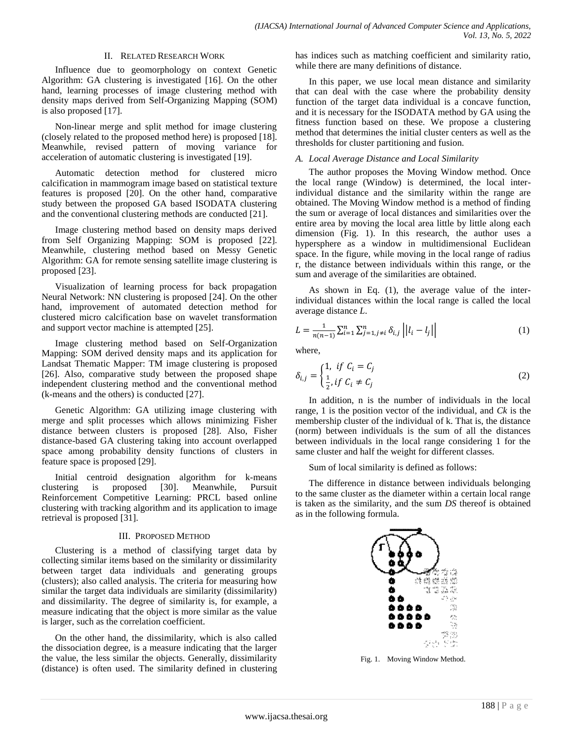#### II. RELATED RESEARCH WORK

Influence due to geomorphology on context Genetic Algorithm: GA clustering is investigated [16]. On the other hand, learning processes of image clustering method with density maps derived from Self-Organizing Mapping (SOM) is also proposed [17].

Non-linear merge and split method for image clustering (closely related to the proposed method here) is proposed [18]. Meanwhile, revised pattern of moving variance for acceleration of automatic clustering is investigated [19].

Automatic detection method for clustered micro calcification in mammogram image based on statistical texture features is proposed [20]. On the other hand, comparative study between the proposed GA based ISODATA clustering and the conventional clustering methods are conducted [21].

Image clustering method based on density maps derived from Self Organizing Mapping: SOM is proposed [22]. Meanwhile, clustering method based on Messy Genetic Algorithm: GA for remote sensing satellite image clustering is proposed [23].

Visualization of learning process for back propagation Neural Network: NN clustering is proposed [24]. On the other hand, improvement of automated detection method for clustered micro calcification base on wavelet transformation and support vector machine is attempted [25].

Image clustering method based on Self-Organization Mapping: SOM derived density maps and its application for Landsat Thematic Mapper: TM image clustering is proposed [26]. Also, comparative study between the proposed shape independent clustering method and the conventional method (k-means and the others) is conducted [27].

Genetic Algorithm: GA utilizing image clustering with merge and split processes which allows minimizing Fisher distance between clusters is proposed [28]. Also, Fisher distance-based GA clustering taking into account overlapped space among probability density functions of clusters in feature space is proposed [29].

Initial centroid designation algorithm for k-means clustering is proposed [30]. Meanwhile, Pursuit Reinforcement Competitive Learning: PRCL based online clustering with tracking algorithm and its application to image retrieval is proposed [31].

## III. PROPOSED METHOD

Clustering is a method of classifying target data by collecting similar items based on the similarity or dissimilarity between target data individuals and generating groups (clusters); also called analysis. The criteria for measuring how similar the target data individuals are similarity (dissimilarity) and dissimilarity. The degree of similarity is, for example, a measure indicating that the object is more similar as the value is larger, such as the correlation coefficient.

On the other hand, the dissimilarity, which is also called the dissociation degree, is a measure indicating that the larger the value, the less similar the objects. Generally, dissimilarity (distance) is often used. The similarity defined in clustering has indices such as matching coefficient and similarity ratio, while there are many definitions of distance.

In this paper, we use local mean distance and similarity that can deal with the case where the probability density function of the target data individual is a concave function, and it is necessary for the ISODATA method by GA using the fitness function based on these. We propose a clustering method that determines the initial cluster centers as well as the thresholds for cluster partitioning and fusion.

## *A. Local Average Distance and Local Similarity*

The author proposes the Moving Window method. Once the local range (Window) is determined, the local interindividual distance and the similarity within the range are obtained. The Moving Window method is a method of finding the sum or average of local distances and similarities over the entire area by moving the local area little by little along each dimension (Fig. 1). In this research, the author uses a hypersphere as a window in multidimensional Euclidean space. In the figure, while moving in the local range of radius r, the distance between individuals within this range, or the sum and average of the similarities are obtained.

As shown in Eq. (1), the average value of the interindividual distances within the local range is called the local average distance *L*.

$$
L = \frac{1}{n(n-1)} \sum_{i=1}^{n} \sum_{j=1, j \neq i}^{n} \delta_{i,j} \left| |l_i - l_j| \right| \tag{1}
$$

where,

$$
\delta_{i,j} = \begin{cases} 1, & \text{if } C_i = C_j \\ \frac{1}{2}, & \text{if } C_i \neq C_j \end{cases}
$$
 (2)

In addition, n is the number of individuals in the local range, 1 is the position vector of the individual, and *Ck* is the membership cluster of the individual of k. That is, the distance (norm) between individuals is the sum of all the distances between individuals in the local range considering 1 for the same cluster and half the weight for different classes.

Sum of local similarity is defined as follows:

The difference in distance between individuals belonging to the same cluster as the diameter within a certain local range is taken as the similarity, and the sum *DS* thereof is obtained as in the following formula.



Fig. 1. Moving Window Method.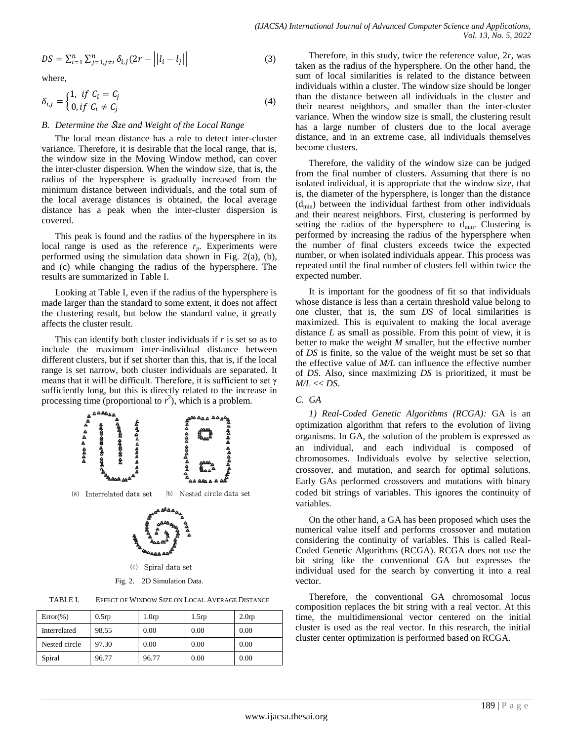$$
DS = \sum_{i=1}^{n} \sum_{j=1, j \neq i}^{n} \delta_{i,j} (2r - ||l_i - l_j||)
$$
 (3)

where,

$$
\delta_{i,j} = \begin{cases} 1, & \text{if } C_i = C_j \\ 0, & \text{if } C_i \neq C_j \end{cases}
$$
 (4)

#### *B. Determine the* S*ize and Weight of the Local Range*

The local mean distance has a role to detect inter-cluster variance. Therefore, it is desirable that the local range, that is, the window size in the Moving Window method, can cover the inter-cluster dispersion. When the window size, that is, the radius of the hypersphere is gradually increased from the minimum distance between individuals, and the total sum of the local average distances is obtained, the local average distance has a peak when the inter-cluster dispersion is covered.

This peak is found and the radius of the hypersphere in its local range is used as the reference  $r_p$ . Experiments were performed using the simulation data shown in Fig. 2(a), (b), and (c) while changing the radius of the hypersphere. The results are summarized in Table I.

Looking at Table I, even if the radius of the hypersphere is made larger than the standard to some extent, it does not affect the clustering result, but below the standard value, it greatly affects the cluster result.

This can identify both cluster individuals if *r* is set so as to include the maximum inter-individual distance between different clusters, but if set shorter than this, that is, if the local range is set narrow, both cluster individuals are separated. It means that it will be difficult. Therefore, it is sufficient to set  $\gamma$ sufficiently long, but this is directly related to the increase in processing time (proportional to  $r^2$ ), which is a problem.



| $Error(\% )$  | 0.5rp | 1.0 <sub>rp</sub> | 1.5rp | 2.0rp |
|---------------|-------|-------------------|-------|-------|
| Interrelated  | 98.55 | 0.00              | 0.00  | 0.00  |
| Nested circle | 97.30 | 0.00              | 0.00  | 0.00  |
| Spiral        | 96.77 | 96.77             | 0.00  | 0.00  |

Therefore, in this study, twice the reference value, 2*r*, was taken as the radius of the hypersphere. On the other hand, the sum of local similarities is related to the distance between individuals within a cluster. The window size should be longer than the distance between all individuals in the cluster and their nearest neighbors, and smaller than the inter-cluster variance. When the window size is small, the clustering result has a large number of clusters due to the local average distance, and in an extreme case, all individuals themselves become clusters.

Therefore, the validity of the window size can be judged from the final number of clusters. Assuming that there is no isolated individual, it is appropriate that the window size, that is, the diameter of the hypersphere, is longer than the distance  $(d_{min})$  between the individual farthest from other individuals and their nearest neighbors. First, clustering is performed by setting the radius of the hypersphere to  $d_{\min}$ . Clustering is performed by increasing the radius of the hypersphere when the number of final clusters exceeds twice the expected number, or when isolated individuals appear. This process was repeated until the final number of clusters fell within twice the expected number.

It is important for the goodness of fit so that individuals whose distance is less than a certain threshold value belong to one cluster, that is, the sum *DS* of local similarities is maximized. This is equivalent to making the local average distance *L* as small as possible. From this point of view, it is better to make the weight *M* smaller, but the effective number of *DS* is finite, so the value of the weight must be set so that the effective value of *M/L* can influence the effective number of *DS*. Also, since maximizing *DS* is prioritized, it must be *M/L* << *DS*.

## *C. GA*

*1) Real-Coded Genetic Algorithms (RCGA):* GA is an optimization algorithm that refers to the evolution of living organisms. In GA, the solution of the problem is expressed as an individual, and each individual is composed of chromosomes. Individuals evolve by selective selection, crossover, and mutation, and search for optimal solutions. Early GAs performed crossovers and mutations with binary coded bit strings of variables. This ignores the continuity of variables.

On the other hand, a GA has been proposed which uses the numerical value itself and performs crossover and mutation considering the continuity of variables. This is called Real-Coded Genetic Algorithms (RCGA). RCGA does not use the bit string like the conventional GA but expresses the individual used for the search by converting it into a real vector.

Therefore, the conventional GA chromosomal locus composition replaces the bit string with a real vector. At this time, the multidimensional vector centered on the initial cluster is used as the real vector. In this research, the initial cluster center optimization is performed based on RCGA.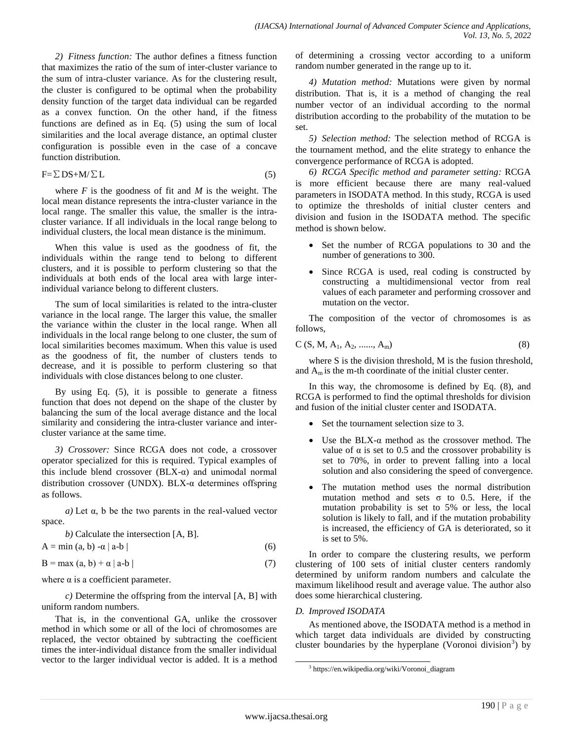*2) Fitness function:* The author defines a fitness function that maximizes the ratio of the sum of inter-cluster variance to the sum of intra-cluster variance. As for the clustering result, the cluster is configured to be optimal when the probability density function of the target data individual can be regarded as a convex function. On the other hand, if the fitness functions are defined as in Eq. (5) using the sum of local similarities and the local average distance, an optimal cluster configuration is possible even in the case of a concave function distribution.

$$
F = \sum DS + M/\sum L \tag{5}
$$

where  $F$  is the goodness of fit and  $M$  is the weight. The local mean distance represents the intra-cluster variance in the local range. The smaller this value, the smaller is the intracluster variance. If all individuals in the local range belong to individual clusters, the local mean distance is the minimum.

When this value is used as the goodness of fit, the individuals within the range tend to belong to different clusters, and it is possible to perform clustering so that the individuals at both ends of the local area with large interindividual variance belong to different clusters.

The sum of local similarities is related to the intra-cluster variance in the local range. The larger this value, the smaller the variance within the cluster in the local range. When all individuals in the local range belong to one cluster, the sum of local similarities becomes maximum. When this value is used as the goodness of fit, the number of clusters tends to decrease, and it is possible to perform clustering so that individuals with close distances belong to one cluster.

By using Eq. (5), it is possible to generate a fitness function that does not depend on the shape of the cluster by balancing the sum of the local average distance and the local similarity and considering the intra-cluster variance and intercluster variance at the same time.

*3) Crossover:* Since RCGA does not code, a crossover operator specialized for this is required. Typical examples of this include blend crossover  $(BLX-α)$  and unimodal normal distribution crossover (UNDX). BLX-α determines offspring as follows.

*a)* Let α, b be the two parents in the real-valued vector space.

*b*) Calculate the intersection [A, B].  
A = min (a, b) 
$$
-\alpha |a-b|
$$
 (6)

$$
B = \max (a, b) + \alpha |a - b|
$$
 (7)

where  $\alpha$  is a coefficient parameter.

*c)* Determine the offspring from the interval [A, B] with uniform random numbers.

That is, in the conventional GA, unlike the crossover method in which some or all of the loci of chromosomes are replaced, the vector obtained by subtracting the coefficient times the inter-individual distance from the smaller individual vector to the larger individual vector is added. It is a method of determining a crossing vector according to a uniform random number generated in the range up to it.

*4) Mutation method:* Mutations were given by normal distribution. That is, it is a method of changing the real number vector of an individual according to the normal distribution according to the probability of the mutation to be set.

*5) Selection method:* The selection method of RCGA is the tournament method, and the elite strategy to enhance the convergence performance of RCGA is adopted.

*6) RCGA Specific method and parameter setting:* RCGA is more efficient because there are many real-valued parameters in ISODATA method. In this study, RCGA is used to optimize the thresholds of initial cluster centers and division and fusion in the ISODATA method. The specific method is shown below.

- Set the number of RCGA populations to 30 and the number of generations to 300.
- Since RCGA is used, real coding is constructed by constructing a multidimensional vector from real values of each parameter and performing crossover and mutation on the vector.

The composition of the vector of chromosomes is as follows,

$$
C (S, M, A1, A2, \dots, Am)
$$
 (8)

where S is the division threshold, M is the fusion threshold, and  $A_m$  is the m-th coordinate of the initial cluster center.

In this way, the chromosome is defined by Eq. (8), and RCGA is performed to find the optimal thresholds for division and fusion of the initial cluster center and ISODATA.

- Set the tournament selection size to 3.
- Use the BLX- $\alpha$  method as the crossover method. The value of  $\alpha$  is set to 0.5 and the crossover probability is set to 70%, in order to prevent falling into a local solution and also considering the speed of convergence.
- The mutation method uses the normal distribution mutation method and sets  $\sigma$  to 0.5. Here, if the mutation probability is set to 5% or less, the local solution is likely to fall, and if the mutation probability is increased, the efficiency of GA is deteriorated, so it is set to 5%.

In order to compare the clustering results, we perform clustering of 100 sets of initial cluster centers randomly determined by uniform random numbers and calculate the maximum likelihood result and average value. The author also does some hierarchical clustering.

## *D. Improved ISODATA*

As mentioned above, the ISODATA method is a method in which target data individuals are divided by constructing cluster boundaries by the hyperplane (Voronoi division<sup>3</sup>) by

 $\overline{a}$ 

<sup>3</sup> https://en.wikipedia.org/wiki/Voronoi\_diagram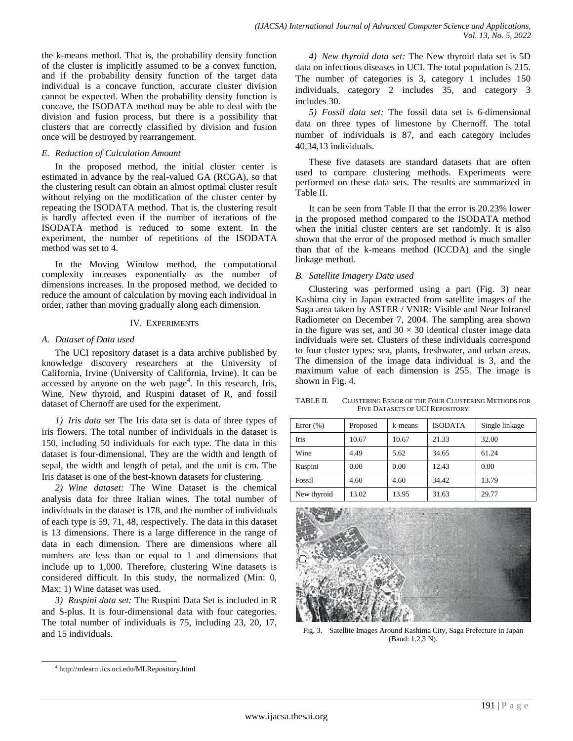the k-means method. That is, the probability density function of the cluster is implicitly assumed to be a convex function, and if the probability density function of the target data individual is a concave function, accurate cluster division cannot be expected. When the probability density function is concave, the ISODATA method may be able to deal with the division and fusion process, but there is a possibility that clusters that are correctly classified by division and fusion once will be destroyed by rearrangement.

## *E. Reduction of Calculation Amount*

In the proposed method, the initial cluster center is estimated in advance by the real-valued GA (RCGA), so that the clustering result can obtain an almost optimal cluster result without relying on the modification of the cluster center by repeating the ISODATA method. That is, the clustering result is hardly affected even if the number of iterations of the ISODATA method is reduced to some extent. In the experiment, the number of repetitions of the ISODATA method was set to 4.

In the Moving Window method, the computational complexity increases exponentially as the number of dimensions increases. In the proposed method, we decided to reduce the amount of calculation by moving each individual in order, rather than moving gradually along each dimension.

## IV. EXPERIMENTS

# *A. Dataset of Data used*

The UCI repository dataset is a data archive published by knowledge discovery researchers at the University of California, Irvine (University of California, Irvine). It can be accessed by anyone on the web page<sup>4</sup>. In this research, Iris, Wine, New thyroid, and Ruspini dataset of R, and fossil dataset of Chernoff are used for the experiment.

*1) Iris data set* The Iris data set is data of three types of iris flowers. The total number of individuals in the dataset is 150, including 50 individuals for each type. The data in this dataset is four-dimensional. They are the width and length of sepal, the width and length of petal, and the unit is cm. The Iris dataset is one of the best-known datasets for clustering.

*2) Wine dataset:* The Wine Dataset is the chemical analysis data for three Italian wines. The total number of individuals in the dataset is 178, and the number of individuals of each type is 59, 71, 48, respectively. The data in this dataset is 13 dimensions. There is a large difference in the range of data in each dimension. There are dimensions where all numbers are less than or equal to 1 and dimensions that include up to 1,000. Therefore, clustering Wine datasets is considered difficult. In this study, the normalized (Min: 0, Max: 1) Wine dataset was used.

*3) Ruspini data set:* The Ruspini Data Set is included in R and S-plus. It is four-dimensional data with four categories. The total number of individuals is 75, including 23, 20, 17, and 15 individuals.

*4) New thyroid data set:* The New thyroid data set is 5D data on infectious diseases in UCI. The total population is 215. The number of categories is 3, category 1 includes 150 individuals, category 2 includes 35, and category 3 includes 30.

*5) Fossil data set:* The fossil data set is 6-dimensional data on three types of limestone by Chernoff. The total number of individuals is 87, and each category includes 40,34,13 individuals.

These five datasets are standard datasets that are often used to compare clustering methods. Experiments were performed on these data sets. The results are summarized in Table II.

It can be seen from Table II that the error is 20.23% lower in the proposed method compared to the ISODATA method when the initial cluster centers are set randomly. It is also shown that the error of the proposed method is much smaller than that of the k-means method (ICCDA) and the single linkage method.

# *B. Satellite Imagery Data used*

Clustering was performed using a part (Fig. 3) near Kashima city in Japan extracted from satellite images of the Saga area taken by ASTER / VNIR: Visible and Near Infrared Radiometer on December 7, 2004. The sampling area shown in the figure was set, and  $30 \times 30$  identical cluster image data individuals were set. Clusters of these individuals correspond to four cluster types: sea, plants, freshwater, and urban areas. The dimension of the image data individual is 3, and the maximum value of each dimension is 255. The image is shown in Fig. 4.

TABLE II. CLUSTERING ERROR OF THE FOUR CLUSTERING METHODS FOR FIVE DATASETS OF UCI REPOSITORY

| Error $(\%)$ | Proposed | k-means | <b>ISODATA</b> | Single linkage |
|--------------|----------|---------|----------------|----------------|
| Iris         | 10.67    | 10.67   | 21.33          | 32.00          |
| Wine         | 4.49     | 5.62    | 34.65          | 61.24          |
| Ruspini      | 0.00     | 0.00    | 12.43          | 0.00           |
| Fossil       | 4.60     | 4.60    | 34.42          | 13.79          |
| New thyroid  | 13.02    | 13.95   | 31.63          | 29.77          |



Fig. 3. Satellite Images Around Kashima City, Saga Prefecture in Japan (Band: 1,2,3 N).

l

<sup>4</sup> http://mlearn .ics.uci.edu/MLRepository.html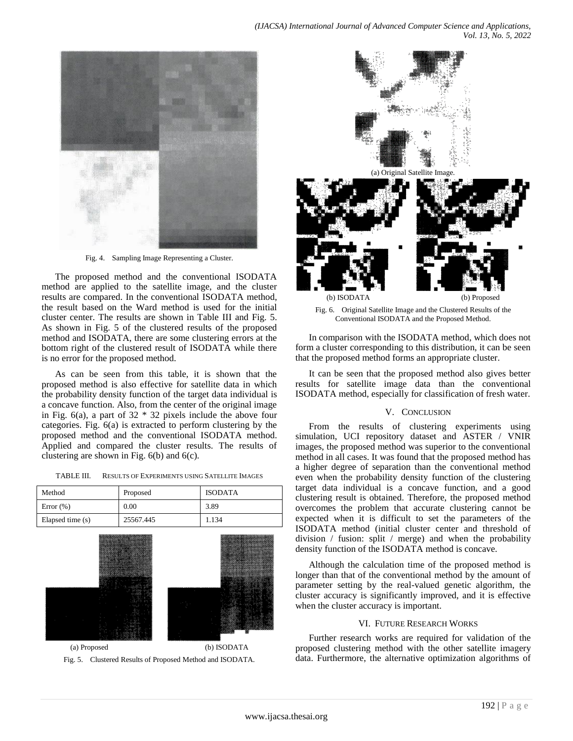

Fig. 4. Sampling Image Representing a Cluster.

The proposed method and the conventional ISODATA method are applied to the satellite image, and the cluster results are compared. In the conventional ISODATA method, the result based on the Ward method is used for the initial cluster center. The results are shown in Table III and Fig. 5. As shown in Fig. 5 of the clustered results of the proposed method and ISODATA, there are some clustering errors at the bottom right of the clustered result of ISODATA while there is no error for the proposed method.

As can be seen from this table, it is shown that the proposed method is also effective for satellite data in which the probability density function of the target data individual is a concave function. Also, from the center of the original image in Fig.  $6(a)$ , a part of  $32 * 32$  pixels include the above four categories. Fig. 6(a) is extracted to perform clustering by the proposed method and the conventional ISODATA method. Applied and compared the cluster results. The results of clustering are shown in Fig. 6(b) and 6(c).

| TABLE III. | <b>RESULTS OF EXPERIMENTS USING SATELLITE IMAGES</b> |
|------------|------------------------------------------------------|
|            |                                                      |

| Method           | Proposed  | <b>ISODATA</b> |
|------------------|-----------|----------------|
| Error $(\%)$     | 0.00      | 3.89           |
| Elapsed time (s) | 25567.445 | 1.134          |



(a) Proposed (b) ISODATA Fig. 5. Clustered Results of Proposed Method and ISODATA.



Fig. 6. Original Satellite Image and the Clustered Results of the Conventional ISODATA and the Proposed Method.

In comparison with the ISODATA method, which does not form a cluster corresponding to this distribution, it can be seen that the proposed method forms an appropriate cluster.

It can be seen that the proposed method also gives better results for satellite image data than the conventional ISODATA method, especially for classification of fresh water.

#### V. CONCLUSION

From the results of clustering experiments using simulation, UCI repository dataset and ASTER / VNIR images, the proposed method was superior to the conventional method in all cases. It was found that the proposed method has a higher degree of separation than the conventional method even when the probability density function of the clustering target data individual is a concave function, and a good clustering result is obtained. Therefore, the proposed method overcomes the problem that accurate clustering cannot be expected when it is difficult to set the parameters of the ISODATA method (initial cluster center and threshold of division / fusion: split / merge) and when the probability density function of the ISODATA method is concave.

Although the calculation time of the proposed method is longer than that of the conventional method by the amount of parameter setting by the real-valued genetic algorithm, the cluster accuracy is significantly improved, and it is effective when the cluster accuracy is important.

#### VI. FUTURE RESEARCH WORKS

Further research works are required for validation of the proposed clustering method with the other satellite imagery data. Furthermore, the alternative optimization algorithms of